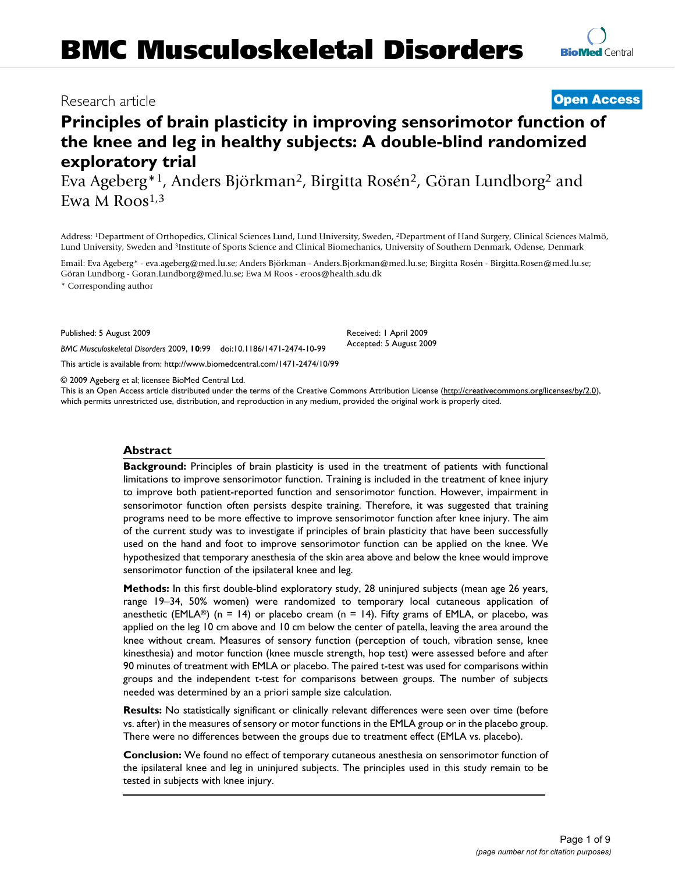## Research article **[Open Access](http://www.biomedcentral.com/info/about/charter/)**

# **Principles of brain plasticity in improving sensorimotor function of the knee and leg in healthy subjects: A double-blind randomized exploratory trial**

Eva Ageberg\*1, Anders Björkman2, Birgitta Rosén2, Göran Lundborg2 and Ewa M  $R$ oos<sup>1,3</sup>

Address: 1Department of Orthopedics, Clinical Sciences Lund, Lund University, Sweden, 2Department of Hand Surgery, Clinical Sciences Malmö, Lund University, Sweden and 3Institute of Sports Science and Clinical Biomechanics, University of Southern Denmark, Odense, Denmark

Email: Eva Ageberg\* - eva.ageberg@med.lu.se; Anders Björkman - Anders.Bjorkman@med.lu.se; Birgitta Rosén - Birgitta.Rosen@med.lu.se; Göran Lundborg - Goran.Lundborg@med.lu.se; Ewa M Roos - eroos@health.sdu.dk

\* Corresponding author

Published: 5 August 2009

*BMC Musculoskeletal Disorders* 2009, **10**:99 doi:10.1186/1471-2474-10-99

[This article is available from: http://www.biomedcentral.com/1471-2474/10/99](http://www.biomedcentral.com/1471-2474/10/99)

© 2009 Ageberg et al; licensee BioMed Central Ltd.

This is an Open Access article distributed under the terms of the Creative Commons Attribution License [\(http://creativecommons.org/licenses/by/2.0\)](http://creativecommons.org/licenses/by/2.0), which permits unrestricted use, distribution, and reproduction in any medium, provided the original work is properly cited.

Received: 1 April 2009 Accepted: 5 August 2009

#### **Abstract**

**Background:** Principles of brain plasticity is used in the treatment of patients with functional limitations to improve sensorimotor function. Training is included in the treatment of knee injury to improve both patient-reported function and sensorimotor function. However, impairment in sensorimotor function often persists despite training. Therefore, it was suggested that training programs need to be more effective to improve sensorimotor function after knee injury. The aim of the current study was to investigate if principles of brain plasticity that have been successfully used on the hand and foot to improve sensorimotor function can be applied on the knee. We hypothesized that temporary anesthesia of the skin area above and below the knee would improve sensorimotor function of the ipsilateral knee and leg.

**Methods:** In this first double-blind exploratory study, 28 uninjured subjects (mean age 26 years, range 19–34, 50% women) were randomized to temporary local cutaneous application of anesthetic (EMLA®) (n = 14) or placebo cream (n = 14). Fifty grams of EMLA, or placebo, was applied on the leg 10 cm above and 10 cm below the center of patella, leaving the area around the knee without cream. Measures of sensory function (perception of touch, vibration sense, knee kinesthesia) and motor function (knee muscle strength, hop test) were assessed before and after 90 minutes of treatment with EMLA or placebo. The paired t-test was used for comparisons within groups and the independent t-test for comparisons between groups. The number of subjects needed was determined by an a priori sample size calculation.

**Results:** No statistically significant or clinically relevant differences were seen over time (before vs. after) in the measures of sensory or motor functions in the EMLA group or in the placebo group. There were no differences between the groups due to treatment effect (EMLA vs. placebo).

**Conclusion:** We found no effect of temporary cutaneous anesthesia on sensorimotor function of the ipsilateral knee and leg in uninjured subjects. The principles used in this study remain to be tested in subjects with knee injury.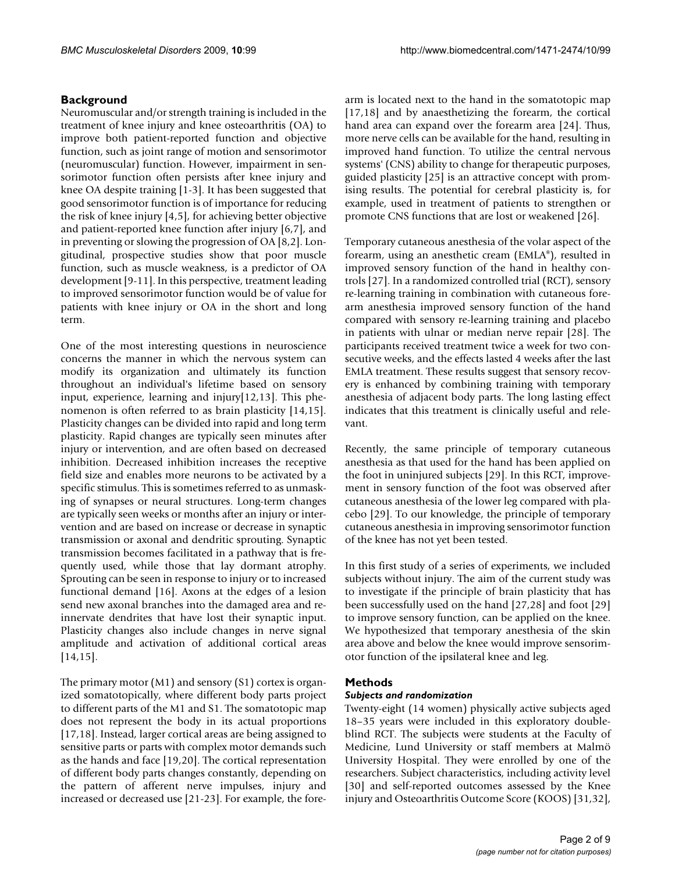#### **Background**

Neuromuscular and/or strength training is included in the treatment of knee injury and knee osteoarthritis (OA) to improve both patient-reported function and objective function, such as joint range of motion and sensorimotor (neuromuscular) function. However, impairment in sensorimotor function often persists after knee injury and knee OA despite training [1-3]. It has been suggested that good sensorimotor function is of importance for reducing the risk of knee injury [4,5], for achieving better objective and patient-reported knee function after injury [6,7], and in preventing or slowing the progression of OA [8,2]. Longitudinal, prospective studies show that poor muscle function, such as muscle weakness, is a predictor of OA development [9-11]. In this perspective, treatment leading to improved sensorimotor function would be of value for patients with knee injury or OA in the short and long term.

One of the most interesting questions in neuroscience concerns the manner in which the nervous system can modify its organization and ultimately its function throughout an individual's lifetime based on sensory input, experience, learning and injury[12,13]. This phenomenon is often referred to as brain plasticity [14,15]. Plasticity changes can be divided into rapid and long term plasticity. Rapid changes are typically seen minutes after injury or intervention, and are often based on decreased inhibition. Decreased inhibition increases the receptive field size and enables more neurons to be activated by a specific stimulus. This is sometimes referred to as unmasking of synapses or neural structures. Long-term changes are typically seen weeks or months after an injury or intervention and are based on increase or decrease in synaptic transmission or axonal and dendritic sprouting. Synaptic transmission becomes facilitated in a pathway that is frequently used, while those that lay dormant atrophy. Sprouting can be seen in response to injury or to increased functional demand [16]. Axons at the edges of a lesion send new axonal branches into the damaged area and reinnervate dendrites that have lost their synaptic input. Plasticity changes also include changes in nerve signal amplitude and activation of additional cortical areas [14,15].

The primary motor (M1) and sensory (S1) cortex is organized somatotopically, where different body parts project to different parts of the M1 and S1. The somatotopic map does not represent the body in its actual proportions [17,18]. Instead, larger cortical areas are being assigned to sensitive parts or parts with complex motor demands such as the hands and face [19,20]. The cortical representation of different body parts changes constantly, depending on the pattern of afferent nerve impulses, injury and increased or decreased use [21-23]. For example, the forearm is located next to the hand in the somatotopic map [17,18] and by anaesthetizing the forearm, the cortical hand area can expand over the forearm area [24]. Thus, more nerve cells can be available for the hand, resulting in improved hand function. To utilize the central nervous systems' (CNS) ability to change for therapeutic purposes, guided plasticity [25] is an attractive concept with promising results. The potential for cerebral plasticity is, for example, used in treatment of patients to strengthen or promote CNS functions that are lost or weakened [26].

Temporary cutaneous anesthesia of the volar aspect of the forearm, using an anesthetic cream (EMLA®), resulted in improved sensory function of the hand in healthy controls [27]. In a randomized controlled trial (RCT), sensory re-learning training in combination with cutaneous forearm anesthesia improved sensory function of the hand compared with sensory re-learning training and placebo in patients with ulnar or median nerve repair [28]. The participants received treatment twice a week for two consecutive weeks, and the effects lasted 4 weeks after the last EMLA treatment. These results suggest that sensory recovery is enhanced by combining training with temporary anesthesia of adjacent body parts. The long lasting effect indicates that this treatment is clinically useful and relevant.

Recently, the same principle of temporary cutaneous anesthesia as that used for the hand has been applied on the foot in uninjured subjects [29]. In this RCT, improvement in sensory function of the foot was observed after cutaneous anesthesia of the lower leg compared with placebo [29]. To our knowledge, the principle of temporary cutaneous anesthesia in improving sensorimotor function of the knee has not yet been tested.

In this first study of a series of experiments, we included subjects without injury. The aim of the current study was to investigate if the principle of brain plasticity that has been successfully used on the hand [27,28] and foot [29] to improve sensory function, can be applied on the knee. We hypothesized that temporary anesthesia of the skin area above and below the knee would improve sensorimotor function of the ipsilateral knee and leg.

#### **Methods**

#### *Subjects and randomization*

Twenty-eight (14 women) physically active subjects aged 18–35 years were included in this exploratory doubleblind RCT. The subjects were students at the Faculty of Medicine, Lund University or staff members at Malmö University Hospital. They were enrolled by one of the researchers. Subject characteristics, including activity level [30] and self-reported outcomes assessed by the Knee injury and Osteoarthritis Outcome Score (KOOS) [31,32],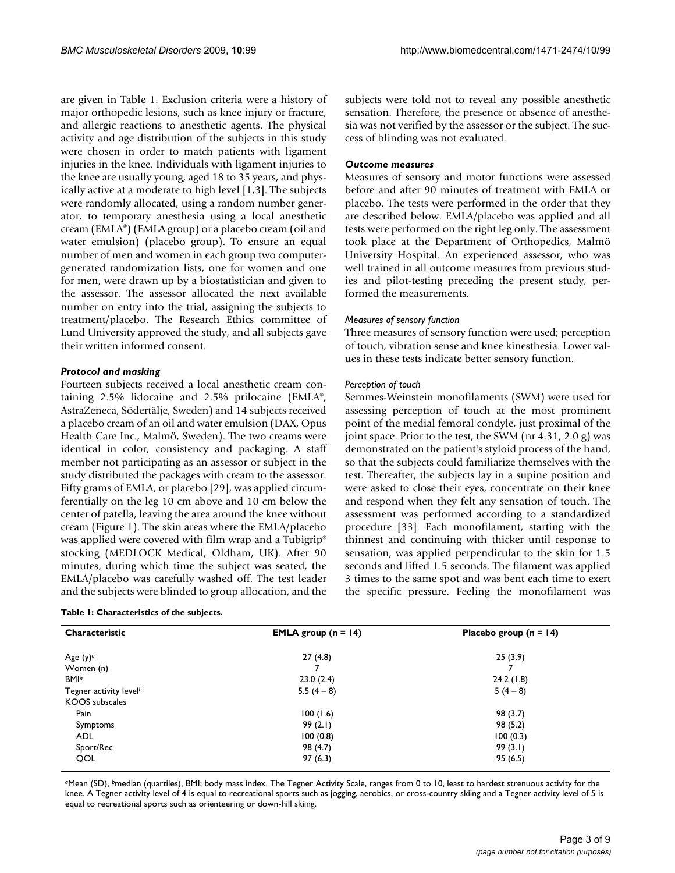are given in Table 1. Exclusion criteria were a history of major orthopedic lesions, such as knee injury or fracture, and allergic reactions to anesthetic agents. The physical activity and age distribution of the subjects in this study were chosen in order to match patients with ligament injuries in the knee. Individuals with ligament injuries to the knee are usually young, aged 18 to 35 years, and physically active at a moderate to high level [1,3]. The subjects were randomly allocated, using a random number generator, to temporary anesthesia using a local anesthetic cream (EMLA®) (EMLA group) or a placebo cream (oil and water emulsion) (placebo group). To ensure an equal number of men and women in each group two computergenerated randomization lists, one for women and one for men, were drawn up by a biostatistician and given to the assessor. The assessor allocated the next available number on entry into the trial, assigning the subjects to treatment/placebo. The Research Ethics committee of Lund University approved the study, and all subjects gave their written informed consent.

#### *Protocol and masking*

Fourteen subjects received a local anesthetic cream containing 2.5% lidocaine and 2.5% prilocaine (EMLA®, AstraZeneca, Södertälje, Sweden) and 14 subjects received a placebo cream of an oil and water emulsion (DAX, Opus Health Care Inc., Malmö, Sweden). The two creams were identical in color, consistency and packaging. A staff member not participating as an assessor or subject in the study distributed the packages with cream to the assessor. Fifty grams of EMLA, or placebo [29], was applied circumferentially on the leg 10 cm above and 10 cm below the center of patella, leaving the area around the knee without cream (Figure 1). The skin areas where the EMLA/placebo was applied were covered with film wrap and a Tubigrip<sup>®</sup> stocking (MEDLOCK Medical, Oldham, UK). After 90 minutes, during which time the subject was seated, the EMLA/placebo was carefully washed off. The test leader and the subjects were blinded to group allocation, and the

|  |  | Table 1: Characteristics of the subjects. |  |  |  |  |
|--|--|-------------------------------------------|--|--|--|--|
|--|--|-------------------------------------------|--|--|--|--|

subjects were told not to reveal any possible anesthetic sensation. Therefore, the presence or absence of anesthesia was not verified by the assessor or the subject. The success of blinding was not evaluated.

#### *Outcome measures*

Measures of sensory and motor functions were assessed before and after 90 minutes of treatment with EMLA or placebo. The tests were performed in the order that they are described below. EMLA/placebo was applied and all tests were performed on the right leg only. The assessment took place at the Department of Orthopedics, Malmö University Hospital. An experienced assessor, who was well trained in all outcome measures from previous studies and pilot-testing preceding the present study, performed the measurements.

#### *Measures of sensory function*

Three measures of sensory function were used; perception of touch, vibration sense and knee kinesthesia. Lower values in these tests indicate better sensory function.

#### *Perception of touch*

Semmes-Weinstein monofilaments (SWM) were used for assessing perception of touch at the most prominent point of the medial femoral condyle, just proximal of the joint space. Prior to the test, the SWM (nr 4.31, 2.0 g) was demonstrated on the patient's styloid process of the hand, so that the subjects could familiarize themselves with the test. Thereafter, the subjects lay in a supine position and were asked to close their eyes, concentrate on their knee and respond when they felt any sensation of touch. The assessment was performed according to a standardized procedure [33]. Each monofilament, starting with the thinnest and continuing with thicker until response to sensation, was applied perpendicular to the skin for 1.5 seconds and lifted 1.5 seconds. The filament was applied 3 times to the same spot and was bent each time to exert the specific pressure. Feeling the monofilament was

| Characteristic                     | <b>EMLA</b> group $(n = 14)$ | Placebo group $(n = 14)$ |  |  |
|------------------------------------|------------------------------|--------------------------|--|--|
| Age $(y)$ <sup>a</sup>             | 27(4.8)                      | 25(3.9)                  |  |  |
| Women (n)                          |                              |                          |  |  |
| <b>BMI</b> <sup>a</sup>            | 23.0(2.4)                    | 24.2(1.8)                |  |  |
| Tegner activity level <sup>b</sup> | 5.5 $(4-8)$                  | $5(4-8)$                 |  |  |
| <b>KOOS</b> subscales              |                              |                          |  |  |
| Pain                               | 100(1.6)                     | 98 (3.7)                 |  |  |
| Symptoms                           | 99(2.1)                      | 98 (5.2)                 |  |  |
| <b>ADL</b>                         | 100(0.8)                     | 100(0.3)                 |  |  |
| Sport/Rec                          | 98 (4.7)                     | 99(3.1)                  |  |  |
| QOL                                | 97(6.3)                      | 95(6.5)                  |  |  |

*<sup>a</sup>*Mean (SD), *b*median (quartiles), BMI; body mass index. The Tegner Activity Scale, ranges from 0 to 10, least to hardest strenuous activity for the knee. A Tegner activity level of 4 is equal to recreational sports such as jogging, aerobics, or cross-country skiing and a Tegner activity level of 5 is equal to recreational sports such as orienteering or down-hill skiing.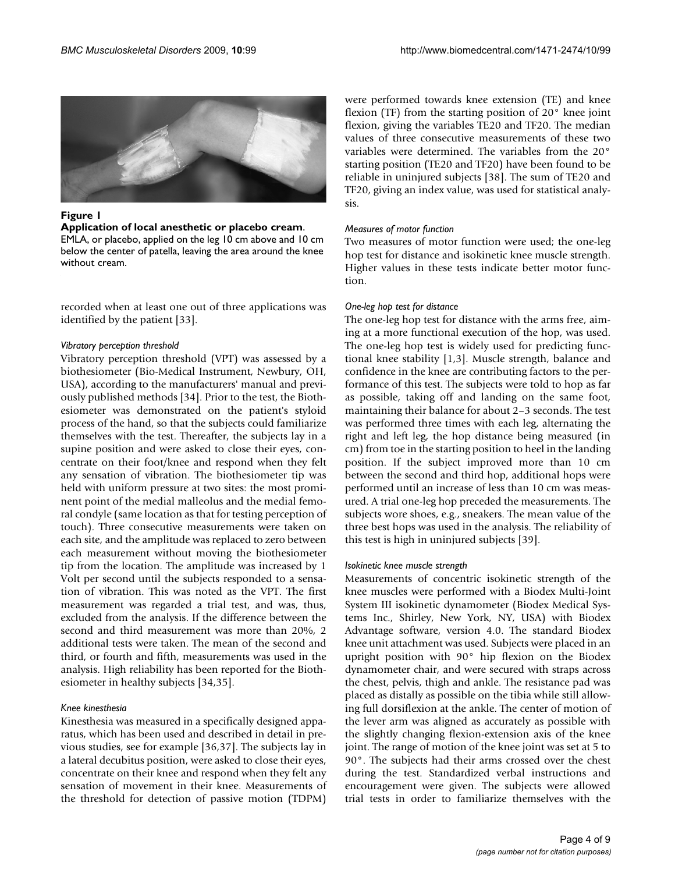

#### **Figure 1**

#### **Application of local anesthetic or placebo cream**.

EMLA, or placebo, applied on the leg 10 cm above and 10 cm below the center of patella, leaving the area around the knee without cream.

recorded when at least one out of three applications was identified by the patient [33].

#### *Vibratory perception threshold*

Vibratory perception threshold (VPT) was assessed by a biothesiometer (Bio-Medical Instrument, Newbury, OH, USA), according to the manufacturers' manual and previously published methods [34]. Prior to the test, the Biothesiometer was demonstrated on the patient's styloid process of the hand, so that the subjects could familiarize themselves with the test. Thereafter, the subjects lay in a supine position and were asked to close their eyes, concentrate on their foot/knee and respond when they felt any sensation of vibration. The biothesiometer tip was held with uniform pressure at two sites: the most prominent point of the medial malleolus and the medial femoral condyle (same location as that for testing perception of touch). Three consecutive measurements were taken on each site, and the amplitude was replaced to zero between each measurement without moving the biothesiometer tip from the location. The amplitude was increased by 1 Volt per second until the subjects responded to a sensation of vibration. This was noted as the VPT. The first measurement was regarded a trial test, and was, thus, excluded from the analysis. If the difference between the second and third measurement was more than 20%, 2 additional tests were taken. The mean of the second and third, or fourth and fifth, measurements was used in the analysis. High reliability has been reported for the Biothesiometer in healthy subjects [34,35].

#### *Knee kinesthesia*

Kinesthesia was measured in a specifically designed apparatus, which has been used and described in detail in previous studies, see for example [36,37]. The subjects lay in a lateral decubitus position, were asked to close their eyes, concentrate on their knee and respond when they felt any sensation of movement in their knee. Measurements of the threshold for detection of passive motion (TDPM)

were performed towards knee extension (TE) and knee flexion (TF) from the starting position of 20° knee joint flexion, giving the variables TE20 and TF20. The median values of three consecutive measurements of these two variables were determined. The variables from the 20° starting position (TE20 and TF20) have been found to be reliable in uninjured subjects [38]. The sum of TE20 and TF20, giving an index value, was used for statistical analysis.

#### *Measures of motor function*

Two measures of motor function were used; the one-leg hop test for distance and isokinetic knee muscle strength. Higher values in these tests indicate better motor function.

#### *One-leg hop test for distance*

The one-leg hop test for distance with the arms free, aiming at a more functional execution of the hop, was used. The one-leg hop test is widely used for predicting functional knee stability [1,3]. Muscle strength, balance and confidence in the knee are contributing factors to the performance of this test. The subjects were told to hop as far as possible, taking off and landing on the same foot, maintaining their balance for about 2–3 seconds. The test was performed three times with each leg, alternating the right and left leg, the hop distance being measured (in cm) from toe in the starting position to heel in the landing position. If the subject improved more than 10 cm between the second and third hop, additional hops were performed until an increase of less than 10 cm was measured. A trial one-leg hop preceded the measurements. The subjects wore shoes, e.g., sneakers. The mean value of the three best hops was used in the analysis. The reliability of this test is high in uninjured subjects [39].

#### *Isokinetic knee muscle strength*

Measurements of concentric isokinetic strength of the knee muscles were performed with a Biodex Multi-Joint System III isokinetic dynamometer (Biodex Medical Systems Inc., Shirley, New York, NY, USA) with Biodex Advantage software, version 4.0. The standard Biodex knee unit attachment was used. Subjects were placed in an upright position with 90° hip flexion on the Biodex dynamometer chair, and were secured with straps across the chest, pelvis, thigh and ankle. The resistance pad was placed as distally as possible on the tibia while still allowing full dorsiflexion at the ankle. The center of motion of the lever arm was aligned as accurately as possible with the slightly changing flexion-extension axis of the knee joint. The range of motion of the knee joint was set at 5 to 90°. The subjects had their arms crossed over the chest during the test. Standardized verbal instructions and encouragement were given. The subjects were allowed trial tests in order to familiarize themselves with the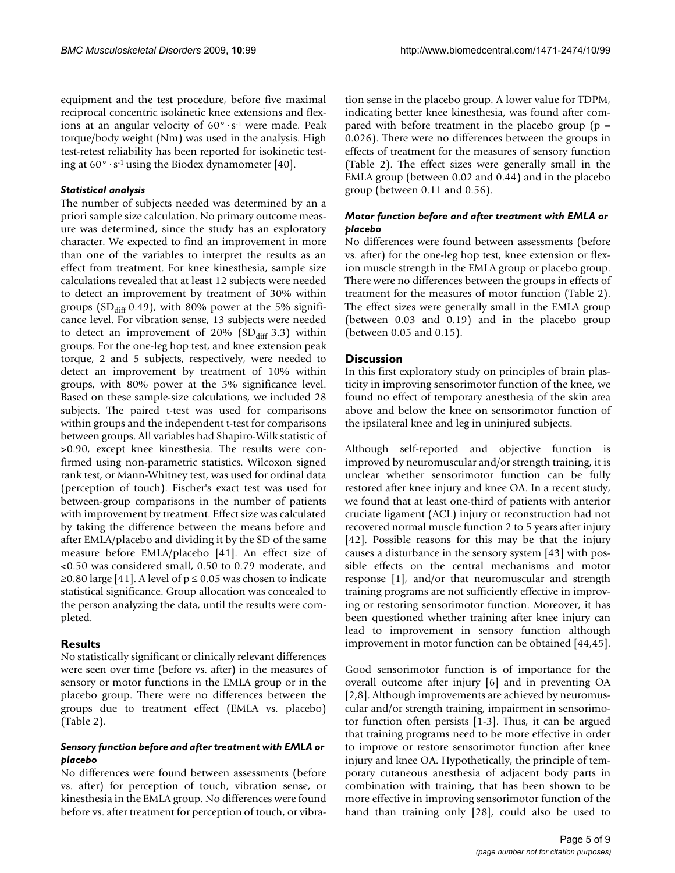equipment and the test procedure, before five maximal reciprocal concentric isokinetic knee extensions and flexions at an angular velocity of  $60^\circ \cdot s^{-1}$  were made. Peak torque/body weight (Nm) was used in the analysis. High test-retest reliability has been reported for isokinetic testing at  $60^\circ \cdot s^{-1}$  using the Biodex dynamometer [40].

#### *Statistical analysis*

The number of subjects needed was determined by an a priori sample size calculation. No primary outcome measure was determined, since the study has an exploratory character. We expected to find an improvement in more than one of the variables to interpret the results as an effect from treatment. For knee kinesthesia, sample size calculations revealed that at least 12 subjects were needed to detect an improvement by treatment of 30% within groups ( $SD<sub>diff</sub> 0.49$ ), with 80% power at the 5% significance level. For vibration sense, 13 subjects were needed to detect an improvement of 20% ( $SD<sub>diff</sub>$  3.3) within groups. For the one-leg hop test, and knee extension peak torque, 2 and 5 subjects, respectively, were needed to detect an improvement by treatment of 10% within groups, with 80% power at the 5% significance level. Based on these sample-size calculations, we included 28 subjects. The paired t-test was used for comparisons within groups and the independent t-test for comparisons between groups. All variables had Shapiro-Wilk statistic of >0.90, except knee kinesthesia. The results were confirmed using non-parametric statistics. Wilcoxon signed rank test, or Mann-Whitney test, was used for ordinal data (perception of touch). Fischer's exact test was used for between-group comparisons in the number of patients with improvement by treatment. Effect size was calculated by taking the difference between the means before and after EMLA/placebo and dividing it by the SD of the same measure before EMLA/placebo [41]. An effect size of <0.50 was considered small, 0.50 to 0.79 moderate, and ≥0.80 large [41]. A level of p ≤ 0.05 was chosen to indicate statistical significance. Group allocation was concealed to the person analyzing the data, until the results were completed.

#### **Results**

No statistically significant or clinically relevant differences were seen over time (before vs. after) in the measures of sensory or motor functions in the EMLA group or in the placebo group. There were no differences between the groups due to treatment effect (EMLA vs. placebo) (Table 2).

#### *Sensory function before and after treatment with EMLA or placebo*

No differences were found between assessments (before vs. after) for perception of touch, vibration sense, or kinesthesia in the EMLA group. No differences were found before vs. after treatment for perception of touch, or vibration sense in the placebo group. A lower value for TDPM, indicating better knee kinesthesia, was found after compared with before treatment in the placebo group  $(p =$ 0.026). There were no differences between the groups in effects of treatment for the measures of sensory function (Table 2). The effect sizes were generally small in the EMLA group (between 0.02 and 0.44) and in the placebo group (between 0.11 and 0.56).

### *Motor function before and after treatment with EMLA or placebo*

No differences were found between assessments (before vs. after) for the one-leg hop test, knee extension or flexion muscle strength in the EMLA group or placebo group. There were no differences between the groups in effects of treatment for the measures of motor function (Table 2). The effect sizes were generally small in the EMLA group (between 0.03 and 0.19) and in the placebo group (between 0.05 and 0.15).

### **Discussion**

In this first exploratory study on principles of brain plasticity in improving sensorimotor function of the knee, we found no effect of temporary anesthesia of the skin area above and below the knee on sensorimotor function of the ipsilateral knee and leg in uninjured subjects.

Although self-reported and objective function is improved by neuromuscular and/or strength training, it is unclear whether sensorimotor function can be fully restored after knee injury and knee OA. In a recent study, we found that at least one-third of patients with anterior cruciate ligament (ACL) injury or reconstruction had not recovered normal muscle function 2 to 5 years after injury [42]. Possible reasons for this may be that the injury causes a disturbance in the sensory system [43] with possible effects on the central mechanisms and motor response [1], and/or that neuromuscular and strength training programs are not sufficiently effective in improving or restoring sensorimotor function. Moreover, it has been questioned whether training after knee injury can lead to improvement in sensory function although improvement in motor function can be obtained [44,45].

Good sensorimotor function is of importance for the overall outcome after injury [6] and in preventing OA [2,8]. Although improvements are achieved by neuromuscular and/or strength training, impairment in sensorimotor function often persists [1-3]. Thus, it can be argued that training programs need to be more effective in order to improve or restore sensorimotor function after knee injury and knee OA. Hypothetically, the principle of temporary cutaneous anesthesia of adjacent body parts in combination with training, that has been shown to be more effective in improving sensorimotor function of the hand than training only [28], could also be used to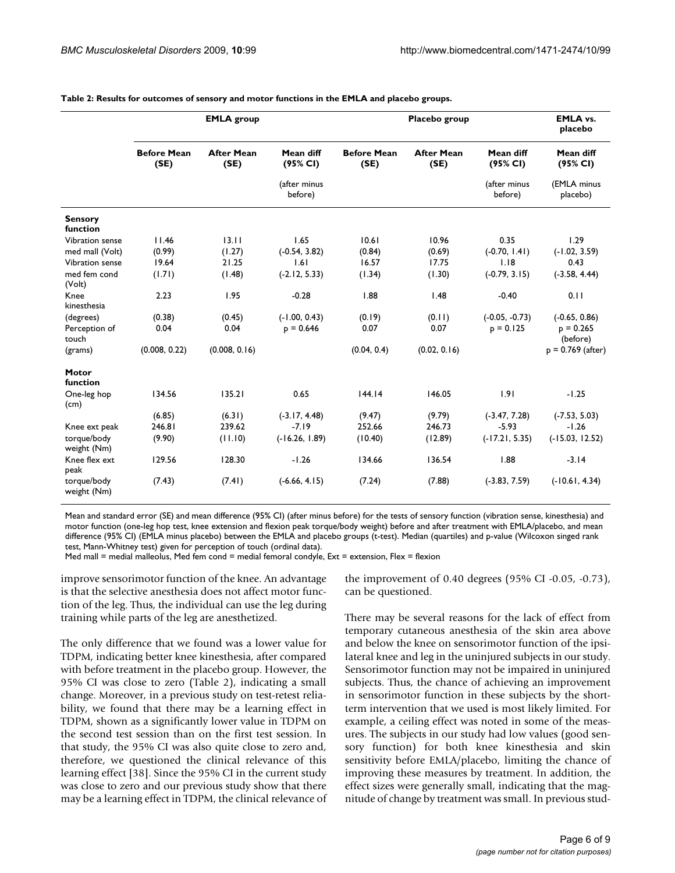|                            |                            | <b>EMLA</b> group         |                         |                            | Placebo group             |                         | <b>EMLA vs.</b><br>placebo |
|----------------------------|----------------------------|---------------------------|-------------------------|----------------------------|---------------------------|-------------------------|----------------------------|
|                            | <b>Before Mean</b><br>(SE) | <b>After Mean</b><br>(SE) | Mean diff<br>(95% CI)   | <b>Before Mean</b><br>(SE) | <b>After Mean</b><br>(SE) | Mean diff<br>(95% CI)   | Mean diff<br>(95% CI)      |
|                            |                            |                           | (after minus<br>before) |                            |                           | (after minus<br>before) | (EMLA minus<br>placebo)    |
| <b>Sensory</b>             |                            |                           |                         |                            |                           |                         |                            |
| function                   |                            |                           |                         |                            |                           |                         |                            |
| Vibration sense            | 11.46                      | 13.11                     | 1.65                    | 10.61                      | 10.96                     | 0.35                    | 1.29                       |
| med mall (Volt)            | (0.99)                     | (1.27)                    | $(-0.54, 3.82)$         | (0.84)                     | (0.69)                    | $(-0.70, 1.41)$         | $(-1.02, 3.59)$            |
| Vibration sense            | 19.64                      | 21.25                     | 1.61                    | 16.57                      | 17.75                     | 1.18                    | 0.43                       |
| med fem cond<br>(Volt)     | (1.71)                     | (1.48)                    | $(-2.12, 5.33)$         | (1.34)                     | (1.30)                    | $(-0.79, 3.15)$         | $(-3.58, 4.44)$            |
| Knee<br>kinesthesia        | 2.23                       | 1.95                      | $-0.28$                 | 1.88                       | 1.48                      | $-0.40$                 | 0.11                       |
| (degrees)                  | (0.38)                     | (0.45)                    | $(-1.00, 0.43)$         | (0.19)                     | (0.11)                    | $(-0.05, -0.73)$        | $(-0.65, 0.86)$            |
| Perception of<br>touch     | 0.04                       | 0.04                      | $p = 0.646$             | 0.07                       | 0.07                      | $p = 0.125$             | $p = 0.265$<br>(before)    |
| (grams)                    | (0.008, 0.22)              | (0.008, 0.16)             |                         | (0.04, 0.4)                | (0.02, 0.16)              |                         | $p = 0.769$ (after)        |
| Motor<br>function          |                            |                           |                         |                            |                           |                         |                            |
| One-leg hop<br>(cm)        | 134.56                     | 135.21                    | 0.65                    | 144.14                     | 146.05                    | 1.91                    | $-1.25$                    |
|                            | (6.85)                     | (6.31)                    | $(-3.17, 4.48)$         | (9.47)                     | (9.79)                    | $(-3.47, 7.28)$         | $(-7.53, 5.03)$            |
| Knee ext peak              | 246.81                     | 239.62                    | $-7.19$                 | 252.66                     | 246.73                    | $-5.93$                 | $-1.26$                    |
| torque/body<br>weight (Nm) | (9.90)                     | (11.10)                   | $(-16.26, 1.89)$        | (10.40)                    | (12.89)                   | $(-17.21, 5.35)$        | $(-15.03, 12.52)$          |
| Knee flex ext<br>peak      | 129.56                     | 128.30                    | $-1.26$                 | 134.66                     | 136.54                    | 1.88                    | $-3.14$                    |
| torque/body<br>weight (Nm) | (7.43)                     | (7.41)                    | $(-6.66, 4.15)$         | (7.24)                     | (7.88)                    | $(-3.83, 7.59)$         | $(-10.61, 4.34)$           |

**Table 2: Results for outcomes of sensory and motor functions in the EMLA and placebo groups.**

Mean and standard error (SE) and mean difference (95% CI) (after minus before) for the tests of sensory function (vibration sense, kinesthesia) and motor function (one-leg hop test, knee extension and flexion peak torque/body weight) before and after treatment with EMLA/placebo, and mean difference (95% CI) (EMLA minus placebo) between the EMLA and placebo groups (t-test). Median (quartiles) and p-value (Wilcoxon singed rank test, Mann-Whitney test) given for perception of touch (ordinal data).

Med mall = medial malleolus, Med fem cond = medial femoral condyle,  $Ext =$  extension, Flex = flexion

improve sensorimotor function of the knee. An advantage is that the selective anesthesia does not affect motor function of the leg. Thus, the individual can use the leg during training while parts of the leg are anesthetized.

The only difference that we found was a lower value for TDPM, indicating better knee kinesthesia, after compared with before treatment in the placebo group. However, the 95% CI was close to zero (Table 2), indicating a small change. Moreover, in a previous study on test-retest reliability, we found that there may be a learning effect in TDPM, shown as a significantly lower value in TDPM on the second test session than on the first test session. In that study, the 95% CI was also quite close to zero and, therefore, we questioned the clinical relevance of this learning effect [38]. Since the 95% CI in the current study was close to zero and our previous study show that there may be a learning effect in TDPM, the clinical relevance of the improvement of 0.40 degrees (95% CI -0.05, -0.73), can be questioned.

There may be several reasons for the lack of effect from temporary cutaneous anesthesia of the skin area above and below the knee on sensorimotor function of the ipsilateral knee and leg in the uninjured subjects in our study. Sensorimotor function may not be impaired in uninjured subjects. Thus, the chance of achieving an improvement in sensorimotor function in these subjects by the shortterm intervention that we used is most likely limited. For example, a ceiling effect was noted in some of the measures. The subjects in our study had low values (good sensory function) for both knee kinesthesia and skin sensitivity before EMLA/placebo, limiting the chance of improving these measures by treatment. In addition, the effect sizes were generally small, indicating that the magnitude of change by treatment was small. In previous stud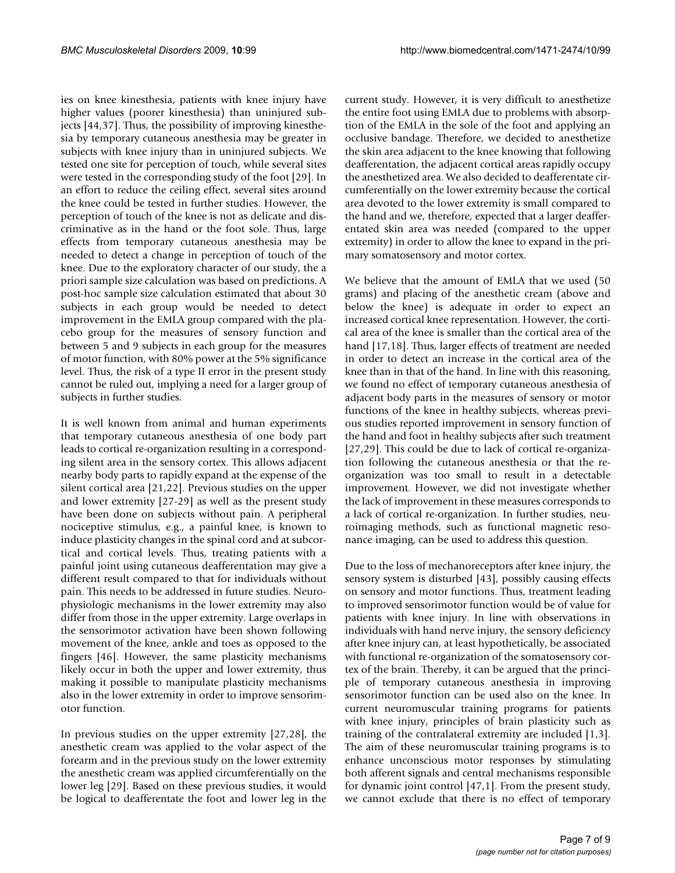ies on knee kinesthesia, patients with knee injury have higher values (poorer kinesthesia) than uninjured subjects [44,37]. Thus, the possibility of improving kinesthesia by temporary cutaneous anesthesia may be greater in subjects with knee injury than in uninjured subjects. We tested one site for perception of touch, while several sites were tested in the corresponding study of the foot [29]. In an effort to reduce the ceiling effect, several sites around the knee could be tested in further studies. However, the perception of touch of the knee is not as delicate and discriminative as in the hand or the foot sole. Thus, large effects from temporary cutaneous anesthesia may be needed to detect a change in perception of touch of the knee. Due to the exploratory character of our study, the a priori sample size calculation was based on predictions. A post-hoc sample size calculation estimated that about 30 subjects in each group would be needed to detect improvement in the EMLA group compared with the placebo group for the measures of sensory function and between 5 and 9 subjects in each group for the measures of motor function, with 80% power at the 5% significance level. Thus, the risk of a type II error in the present study cannot be ruled out, implying a need for a larger group of subjects in further studies.

It is well known from animal and human experiments that temporary cutaneous anesthesia of one body part leads to cortical re-organization resulting in a corresponding silent area in the sensory cortex. This allows adjacent nearby body parts to rapidly expand at the expense of the silent cortical area [21,22]. Previous studies on the upper and lower extremity [27-29] as well as the present study have been done on subjects without pain. A peripheral nociceptive stimulus, e.g., a painful knee, is known to induce plasticity changes in the spinal cord and at subcortical and cortical levels. Thus, treating patients with a painful joint using cutaneous deafferentation may give a different result compared to that for individuals without pain. This needs to be addressed in future studies. Neurophysiologic mechanisms in the lower extremity may also differ from those in the upper extremity. Large overlaps in the sensorimotor activation have been shown following movement of the knee, ankle and toes as opposed to the fingers [46]. However, the same plasticity mechanisms likely occur in both the upper and lower extremity, thus making it possible to manipulate plasticity mechanisms also in the lower extremity in order to improve sensorimotor function.

In previous studies on the upper extremity [27,28], the anesthetic cream was applied to the volar aspect of the forearm and in the previous study on the lower extremity the anesthetic cream was applied circumferentially on the lower leg [29]. Based on these previous studies, it would be logical to deafferentate the foot and lower leg in the current study. However, it is very difficult to anesthetize the entire foot using EMLA due to problems with absorption of the EMLA in the sole of the foot and applying an occlusive bandage. Therefore, we decided to anesthetize the skin area adjacent to the knee knowing that following deafferentation, the adjacent cortical areas rapidly occupy the anesthetized area. We also decided to deafferentate circumferentially on the lower extremity because the cortical area devoted to the lower extremity is small compared to the hand and we, therefore, expected that a larger deafferentated skin area was needed (compared to the upper extremity) in order to allow the knee to expand in the primary somatosensory and motor cortex.

We believe that the amount of EMLA that we used (50 grams) and placing of the anesthetic cream (above and below the knee) is adequate in order to expect an increased cortical knee representation. However, the cortical area of the knee is smaller than the cortical area of the hand [17,18]. Thus, larger effects of treatment are needed in order to detect an increase in the cortical area of the knee than in that of the hand. In line with this reasoning, we found no effect of temporary cutaneous anesthesia of adjacent body parts in the measures of sensory or motor functions of the knee in healthy subjects, whereas previous studies reported improvement in sensory function of the hand and foot in healthy subjects after such treatment [27,29]. This could be due to lack of cortical re-organization following the cutaneous anesthesia or that the reorganization was too small to result in a detectable improvement. However, we did not investigate whether the lack of improvement in these measures corresponds to a lack of cortical re-organization. In further studies, neuroimaging methods, such as functional magnetic resonance imaging, can be used to address this question.

Due to the loss of mechanoreceptors after knee injury, the sensory system is disturbed [43], possibly causing effects on sensory and motor functions. Thus, treatment leading to improved sensorimotor function would be of value for patients with knee injury. In line with observations in individuals with hand nerve injury, the sensory deficiency after knee injury can, at least hypothetically, be associated with functional re-organization of the somatosensory cortex of the brain. Thereby, it can be argued that the principle of temporary cutaneous anesthesia in improving sensorimotor function can be used also on the knee. In current neuromuscular training programs for patients with knee injury, principles of brain plasticity such as training of the contralateral extremity are included [1,3]. The aim of these neuromuscular training programs is to enhance unconscious motor responses by stimulating both afferent signals and central mechanisms responsible for dynamic joint control [47,1]. From the present study, we cannot exclude that there is no effect of temporary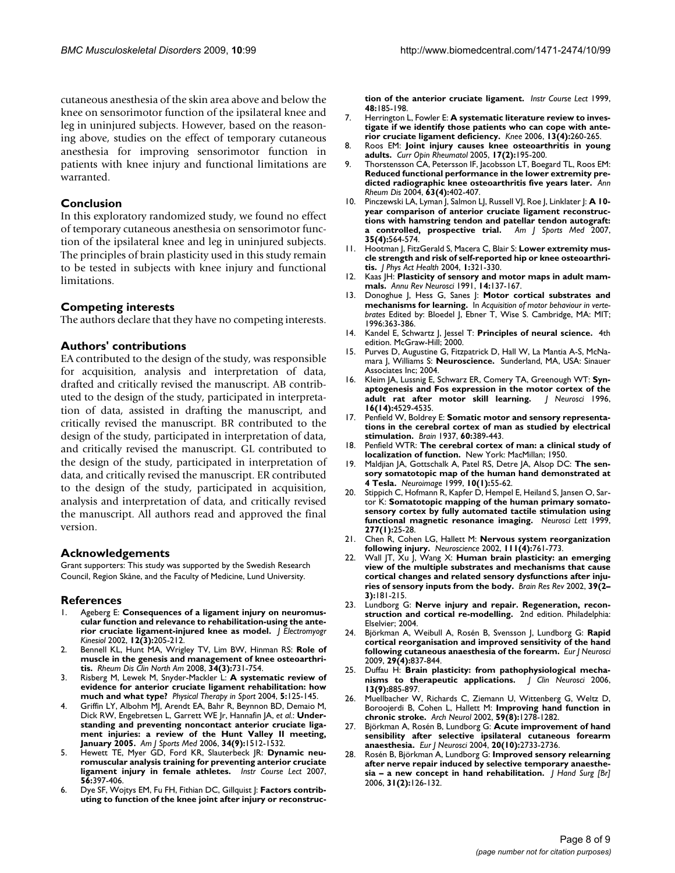cutaneous anesthesia of the skin area above and below the knee on sensorimotor function of the ipsilateral knee and leg in uninjured subjects. However, based on the reasoning above, studies on the effect of temporary cutaneous anesthesia for improving sensorimotor function in patients with knee injury and functional limitations are warranted.

#### **Conclusion**

In this exploratory randomized study, we found no effect of temporary cutaneous anesthesia on sensorimotor function of the ipsilateral knee and leg in uninjured subjects. The principles of brain plasticity used in this study remain to be tested in subjects with knee injury and functional limitations.

#### **Competing interests**

The authors declare that they have no competing interests.

#### **Authors' contributions**

EA contributed to the design of the study, was responsible for acquisition, analysis and interpretation of data, drafted and critically revised the manuscript. AB contributed to the design of the study, participated in interpretation of data, assisted in drafting the manuscript, and critically revised the manuscript. BR contributed to the design of the study, participated in interpretation of data, and critically revised the manuscript. GL contributed to the design of the study, participated in interpretation of data, and critically revised the manuscript. ER contributed to the design of the study, participated in acquisition, analysis and interpretation of data, and critically revised the manuscript. All authors read and approved the final version.

#### **Acknowledgements**

Grant supporters: This study was supported by the Swedish Research Council, Region Skåne, and the Faculty of Medicine, Lund University.

#### **References**

- Ageberg E: [Consequences of a ligament injury on neuromus](http://www.ncbi.nlm.nih.gov/entrez/query.fcgi?cmd=Retrieve&db=PubMed&dopt=Abstract&list_uids=12086815)**[cular function and relevance to rehabilitation-using the ante](http://www.ncbi.nlm.nih.gov/entrez/query.fcgi?cmd=Retrieve&db=PubMed&dopt=Abstract&list_uids=12086815)[rior cruciate ligament-injured knee as model.](http://www.ncbi.nlm.nih.gov/entrez/query.fcgi?cmd=Retrieve&db=PubMed&dopt=Abstract&list_uids=12086815)** *J Electromyogr Kinesiol* 2002, **12(3):**205-212.
- 2. Bennell KL, Hunt MA, Wrigley TV, Lim BW, Hinman RS: **[Role of](http://www.ncbi.nlm.nih.gov/entrez/query.fcgi?cmd=Retrieve&db=PubMed&dopt=Abstract&list_uids=18687280) [muscle in the genesis and management of knee osteoarthri](http://www.ncbi.nlm.nih.gov/entrez/query.fcgi?cmd=Retrieve&db=PubMed&dopt=Abstract&list_uids=18687280)[tis.](http://www.ncbi.nlm.nih.gov/entrez/query.fcgi?cmd=Retrieve&db=PubMed&dopt=Abstract&list_uids=18687280)** *Rheum Dis Clin North Am* 2008, **34(3):**731-754.
- 3. Risberg M, Lewek M, Snyder-Mackler L: **A systematic review of evidence for anterior cruciate ligament rehabilitation: how much and what type?** *Physical Therapy in Sport* 2004, **5:**125-145.
- 4. Griffin LY, Albohm MJ, Arendt EA, Bahr R, Beynnon BD, Demaio M, Dick RW, Engebretsen L, Garrett WE Jr, Hannafin JA, *et al.*: **[Under](http://www.ncbi.nlm.nih.gov/entrez/query.fcgi?cmd=Retrieve&db=PubMed&dopt=Abstract&list_uids=16905673)[standing and preventing noncontact anterior cruciate liga](http://www.ncbi.nlm.nih.gov/entrez/query.fcgi?cmd=Retrieve&db=PubMed&dopt=Abstract&list_uids=16905673)ment injuries: a review of the Hunt Valley II meeting, [January 2005.](http://www.ncbi.nlm.nih.gov/entrez/query.fcgi?cmd=Retrieve&db=PubMed&dopt=Abstract&list_uids=16905673)** *Am J Sports Med* 2006, **34(9):**1512-1532.
- 5. Hewett TE, Myer GD, Ford KR, Slauterbeck JR: **[Dynamic neu](http://www.ncbi.nlm.nih.gov/entrez/query.fcgi?cmd=Retrieve&db=PubMed&dopt=Abstract&list_uids=17472323)[romuscular analysis training for preventing anterior cruciate](http://www.ncbi.nlm.nih.gov/entrez/query.fcgi?cmd=Retrieve&db=PubMed&dopt=Abstract&list_uids=17472323) [ligament injury in female athletes.](http://www.ncbi.nlm.nih.gov/entrez/query.fcgi?cmd=Retrieve&db=PubMed&dopt=Abstract&list_uids=17472323)** *Instr Course Lect* 2007, **56:**397-406.
- 6. Dye SF, Wojtys EM, Fu FH, Fithian DC, Gillquist J: **[Factors contrib](http://www.ncbi.nlm.nih.gov/entrez/query.fcgi?cmd=Retrieve&db=PubMed&dopt=Abstract&list_uids=10098044)[uting to function of the knee joint after injury or reconstruc-](http://www.ncbi.nlm.nih.gov/entrez/query.fcgi?cmd=Retrieve&db=PubMed&dopt=Abstract&list_uids=10098044)**

**[tion of the anterior cruciate ligament.](http://www.ncbi.nlm.nih.gov/entrez/query.fcgi?cmd=Retrieve&db=PubMed&dopt=Abstract&list_uids=10098044)** *Instr Course Lect* 1999, **48:**185-198.

- 7. Herrington L, Fowler E: **[A systematic literature review to inves](http://www.ncbi.nlm.nih.gov/entrez/query.fcgi?cmd=Retrieve&db=PubMed&dopt=Abstract&list_uids=16806942)[tigate if we identify those patients who can cope with ante](http://www.ncbi.nlm.nih.gov/entrez/query.fcgi?cmd=Retrieve&db=PubMed&dopt=Abstract&list_uids=16806942)[rior cruciate ligament deficiency.](http://www.ncbi.nlm.nih.gov/entrez/query.fcgi?cmd=Retrieve&db=PubMed&dopt=Abstract&list_uids=16806942)** *Knee* 2006, **13(4):**260-265.
- 8. Roos EM: **[Joint injury causes knee osteoarthritis in young](http://www.ncbi.nlm.nih.gov/entrez/query.fcgi?cmd=Retrieve&db=PubMed&dopt=Abstract&list_uids=15711235) [adults.](http://www.ncbi.nlm.nih.gov/entrez/query.fcgi?cmd=Retrieve&db=PubMed&dopt=Abstract&list_uids=15711235)** *Curr Opin Rheumatol* 2005, **17(2):**195-200.
- Thorstensson CA, Petersson IF, Jacobsson LT, Boegard TL, Roos EM: **[Reduced functional performance in the lower extremity pre](http://www.ncbi.nlm.nih.gov/entrez/query.fcgi?cmd=Retrieve&db=PubMed&dopt=Abstract&list_uids=15020334)[dicted radiographic knee osteoarthritis five years later.](http://www.ncbi.nlm.nih.gov/entrez/query.fcgi?cmd=Retrieve&db=PubMed&dopt=Abstract&list_uids=15020334)** *Ann Rheum Dis* 2004, **63(4):**402-407.
- 10. Pinczewski LA, Lyman J, Salmon LJ, Russell VJ, Roe J, Linklater J: **[A 10](http://www.ncbi.nlm.nih.gov/entrez/query.fcgi?cmd=Retrieve&db=PubMed&dopt=Abstract&list_uids=17261567) [year comparison of anterior cruciate ligament reconstruc](http://www.ncbi.nlm.nih.gov/entrez/query.fcgi?cmd=Retrieve&db=PubMed&dopt=Abstract&list_uids=17261567)tions with hamstring tendon and patellar tendon autograft: [a controlled, prospective trial.](http://www.ncbi.nlm.nih.gov/entrez/query.fcgi?cmd=Retrieve&db=PubMed&dopt=Abstract&list_uids=17261567)** *Am J Sports Med* 2007, **35(4):**564-574.
- 11. Hootman J, FitzGerald S, Macera C, Blair S: **Lower extremity muscle strength and risk of self-reported hip or knee osteoarthritis.** *J Phys Act Health* 2004, **1:**321-330.
- 12. Kaas JH: **[Plasticity of sensory and motor maps in adult mam](http://www.ncbi.nlm.nih.gov/entrez/query.fcgi?cmd=Retrieve&db=PubMed&dopt=Abstract&list_uids=2031570)[mals.](http://www.ncbi.nlm.nih.gov/entrez/query.fcgi?cmd=Retrieve&db=PubMed&dopt=Abstract&list_uids=2031570)** *Annu Rev Neurosci* 1991, **14:**137-167.
- 13. Donoghue J, Hess G, Sanes J: **Motor cortical substrates and mechanisms for learning.** In *Acquisition of motor behaviour in vertebrates* Edited by: Bloedel J, Ebner T, Wise S. Cambridge, MA: MIT; 1996:363-386.
- 14. Kandel E, Schwartz J, Jessel T: **Principles of neural science.** 4th edition. McGraw-Hill; 2000.
- 15. Purves D, Augustine G, Fitzpatrick D, Hall W, La Mantia A-S, McNamara J, Williams S: **Neuroscience.** Sunderland, MA, USA: Sinauer Associates Inc; 2004.
- 16. Kleim JA, Lussnig E, Schwarz ER, Comery TA, Greenough WT: **[Syn](http://www.ncbi.nlm.nih.gov/entrez/query.fcgi?cmd=Retrieve&db=PubMed&dopt=Abstract&list_uids=8699262)[aptogenesis and Fos expression in the motor cortex of the](http://www.ncbi.nlm.nih.gov/entrez/query.fcgi?cmd=Retrieve&db=PubMed&dopt=Abstract&list_uids=8699262)** [adult rat after motor skill learning.](http://www.ncbi.nlm.nih.gov/entrez/query.fcgi?cmd=Retrieve&db=PubMed&dopt=Abstract&list_uids=8699262) **16(14):**4529-4535.
- 17. Penfield W, Boldrey E: **Somatic motor and sensory representations in the cerebral cortex of man as studied by electrical stimulation.** *Brain* 1937, **60:**389-443.
- 18. Penfield WTR: **The cerebral cortex of man: a clinical study of localization of function.** New York: MacMillan; 1950.
- 19. Maldjian JA, Gottschalk A, Patel RS, Detre JA, Alsop DC: **[The sen](http://www.ncbi.nlm.nih.gov/entrez/query.fcgi?cmd=Retrieve&db=PubMed&dopt=Abstract&list_uids=10385581)[sory somatotopic map of the human hand demonstrated at](http://www.ncbi.nlm.nih.gov/entrez/query.fcgi?cmd=Retrieve&db=PubMed&dopt=Abstract&list_uids=10385581) [4 Tesla.](http://www.ncbi.nlm.nih.gov/entrez/query.fcgi?cmd=Retrieve&db=PubMed&dopt=Abstract&list_uids=10385581)** *Neuroimage* 1999, **10(1):**55-62.
- 20. Stippich C, Hofmann R, Kapfer D, Hempel E, Heiland S, Jansen O, Sartor K: **[Somatotopic mapping of the human primary somato](http://www.ncbi.nlm.nih.gov/entrez/query.fcgi?cmd=Retrieve&db=PubMed&dopt=Abstract&list_uids=10643889)[sensory cortex by fully automated tactile stimulation using](http://www.ncbi.nlm.nih.gov/entrez/query.fcgi?cmd=Retrieve&db=PubMed&dopt=Abstract&list_uids=10643889) [functional magnetic resonance imaging.](http://www.ncbi.nlm.nih.gov/entrez/query.fcgi?cmd=Retrieve&db=PubMed&dopt=Abstract&list_uids=10643889)** *Neurosci Lett* 1999, **277(1):**25-28.
- 21. Chen R, Cohen LG, Hallett M: **[Nervous system reorganization](http://www.ncbi.nlm.nih.gov/entrez/query.fcgi?cmd=Retrieve&db=PubMed&dopt=Abstract&list_uids=12031403) [following injury.](http://www.ncbi.nlm.nih.gov/entrez/query.fcgi?cmd=Retrieve&db=PubMed&dopt=Abstract&list_uids=12031403)** *Neuroscience* 2002, **111(4):**761-773.
- 22. Wall JT, Xu J, Wang X: **[Human brain plasticity: an emerging](http://www.ncbi.nlm.nih.gov/entrez/query.fcgi?cmd=Retrieve&db=PubMed&dopt=Abstract&list_uids=12423766) [view of the multiple substrates and mechanisms that cause](http://www.ncbi.nlm.nih.gov/entrez/query.fcgi?cmd=Retrieve&db=PubMed&dopt=Abstract&list_uids=12423766) cortical changes and related sensory dysfunctions after inju[ries of sensory inputs from the body.](http://www.ncbi.nlm.nih.gov/entrez/query.fcgi?cmd=Retrieve&db=PubMed&dopt=Abstract&list_uids=12423766)** *Brain Res Rev* 2002, **39(2– 3):**181-215.
- 23. Lundborg G: **Nerve injury and repair. Regeneration, reconstruction and cortical re-modelling.** 2nd edition. Philadelphia: Elselvier; 2004.
- 24. Björkman A, Weibull A, Rosén B, Svensson J, Lundborg G: **[Rapid](http://www.ncbi.nlm.nih.gov/entrez/query.fcgi?cmd=Retrieve&db=PubMed&dopt=Abstract&list_uids=19250441) [cortical reorganisation and improved sensitivity of the hand](http://www.ncbi.nlm.nih.gov/entrez/query.fcgi?cmd=Retrieve&db=PubMed&dopt=Abstract&list_uids=19250441) [following cutaneous anaesthesia of the forearm.](http://www.ncbi.nlm.nih.gov/entrez/query.fcgi?cmd=Retrieve&db=PubMed&dopt=Abstract&list_uids=19250441)** *Eur J Neurosci* 2009, **29(4):**837-844.
- 25. Duffau H: **[Brain plasticity: from pathophysiological mecha](http://www.ncbi.nlm.nih.gov/entrez/query.fcgi?cmd=Retrieve&db=PubMed&dopt=Abstract&list_uids=17049865)[nisms to therapeutic applications.](http://www.ncbi.nlm.nih.gov/entrez/query.fcgi?cmd=Retrieve&db=PubMed&dopt=Abstract&list_uids=17049865)** *J Clin Neurosci* 2006, **13(9):**885-897.
- 26. Muellbacher W, Richards C, Ziemann U, Wittenberg G, Weltz D, Boroojerdi B, Cohen L, Hallett M: **[Improving hand function in](http://www.ncbi.nlm.nih.gov/entrez/query.fcgi?cmd=Retrieve&db=PubMed&dopt=Abstract&list_uids=12164724) [chronic stroke.](http://www.ncbi.nlm.nih.gov/entrez/query.fcgi?cmd=Retrieve&db=PubMed&dopt=Abstract&list_uids=12164724)** *Arch Neurol* 2002, **59(8):**1278-1282.
- 27. Björkman A, Rosén B, Lundborg G: **[Acute improvement of hand](http://www.ncbi.nlm.nih.gov/entrez/query.fcgi?cmd=Retrieve&db=PubMed&dopt=Abstract&list_uids=15548216) [sensibility after selective ipsilateral cutaneous forearm](http://www.ncbi.nlm.nih.gov/entrez/query.fcgi?cmd=Retrieve&db=PubMed&dopt=Abstract&list_uids=15548216) [anaesthesia.](http://www.ncbi.nlm.nih.gov/entrez/query.fcgi?cmd=Retrieve&db=PubMed&dopt=Abstract&list_uids=15548216)** *Eur J Neurosci* 2004, **20(10):**2733-2736.
- 28. Rosén B, Björkman A, Lundborg G: **[Improved sensory relearning](http://www.ncbi.nlm.nih.gov/entrez/query.fcgi?cmd=Retrieve&db=PubMed&dopt=Abstract&list_uids=16352379) [after nerve repair induced by selective temporary anaesthe](http://www.ncbi.nlm.nih.gov/entrez/query.fcgi?cmd=Retrieve&db=PubMed&dopt=Abstract&list_uids=16352379)[sia – a new concept in hand rehabilitation.](http://www.ncbi.nlm.nih.gov/entrez/query.fcgi?cmd=Retrieve&db=PubMed&dopt=Abstract&list_uids=16352379)** *J Hand Surg [Br]* 2006, **31(2):**126-132.